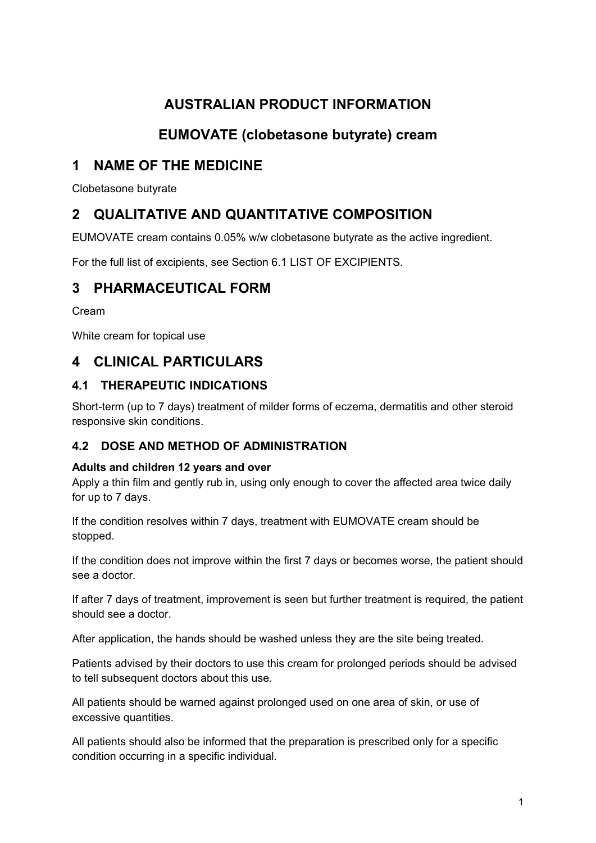# **AUSTRALIAN PRODUCT INFORMATION**

# **EUMOVATE (clobetasone butyrate) cream**

# **1 NAME OF THE MEDICINE**

Clobetasone butyrate

# **2 QUALITATIVE AND QUANTITATIVE COMPOSITION**

EUMOVATE cream contains 0.05% w/w clobetasone butyrate as the active ingredient.

For the full list of excipients, see Section 6.1 LIST OF EXCIPIENTS.

# **3 PHARMACEUTICAL FORM**

Cream

White cream for topical use

# **4 CLINICAL PARTICULARS**

## **4.1 THERAPEUTIC INDICATIONS**

Short-term (up to 7 days) treatment of milder forms of eczema, dermatitis and other steroid responsive skin conditions.

## **4.2 DOSE AND METHOD OF ADMINISTRATION**

#### **Adults and children 12 years and over**

Apply a thin film and gently rub in, using only enough to cover the affected area twice daily for up to 7 days.

If the condition resolves within 7 days, treatment with EUMOVATE cream should be stopped.

If the condition does not improve within the first 7 days or becomes worse, the patient should see a doctor.

If after 7 days of treatment, improvement is seen but further treatment is required, the patient should see a doctor.

After application, the hands should be washed unless they are the site being treated.

Patients advised by their doctors to use this cream for prolonged periods should be advised to tell subsequent doctors about this use.

All patients should be warned against prolonged used on one area of skin, or use of excessive quantities.

All patients should also be informed that the preparation is prescribed only for a specific condition occurring in a specific individual.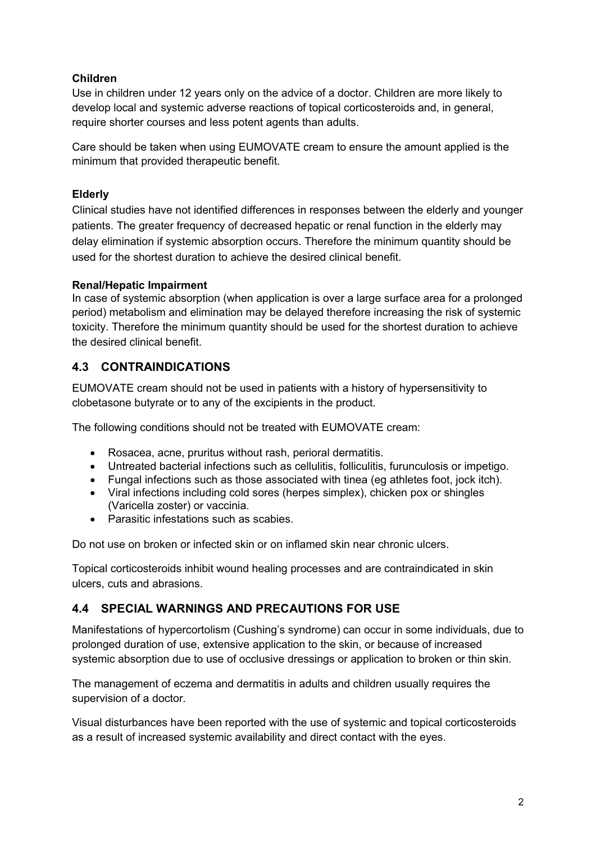#### **Children**

Use in children under 12 years only on the advice of a doctor. Children are more likely to develop local and systemic adverse reactions of topical corticosteroids and, in general, require shorter courses and less potent agents than adults.

Care should be taken when using EUMOVATE cream to ensure the amount applied is the minimum that provided therapeutic benefit.

#### **Elderly**

Clinical studies have not identified differences in responses between the elderly and younger patients. The greater frequency of decreased hepatic or renal function in the elderly may delay elimination if systemic absorption occurs. Therefore the minimum quantity should be used for the shortest duration to achieve the desired clinical benefit.

#### **Renal/Hepatic Impairment**

In case of systemic absorption (when application is over a large surface area for a prolonged period) metabolism and elimination may be delayed therefore increasing the risk of systemic toxicity. Therefore the minimum quantity should be used for the shortest duration to achieve the desired clinical benefit.

## **4.3 CONTRAINDICATIONS**

EUMOVATE cream should not be used in patients with a history of hypersensitivity to clobetasone butyrate or to any of the excipients in the product.

The following conditions should not be treated with EUMOVATE cream:

- Rosacea, acne, pruritus without rash, perioral dermatitis.
- Untreated bacterial infections such as cellulitis, folliculitis, furunculosis or impetigo.
- Fungal infections such as those associated with tinea (eg athletes foot, jock itch).
- Viral infections including cold sores (herpes simplex), chicken pox or shingles (Varicella zoster) or vaccinia.
- Parasitic infestations such as scabies.

Do not use on broken or infected skin or on inflamed skin near chronic ulcers.

Topical corticosteroids inhibit wound healing processes and are contraindicated in skin ulcers, cuts and abrasions.

### **4.4 SPECIAL WARNINGS AND PRECAUTIONS FOR USE**

Manifestations of hypercortolism (Cushing's syndrome) can occur in some individuals, due to prolonged duration of use, extensive application to the skin, or because of increased systemic absorption due to use of occlusive dressings or application to broken or thin skin.

The management of eczema and dermatitis in adults and children usually requires the supervision of a doctor.

Visual disturbances have been reported with the use of systemic and topical corticosteroids as a result of increased systemic availability and direct contact with the eyes.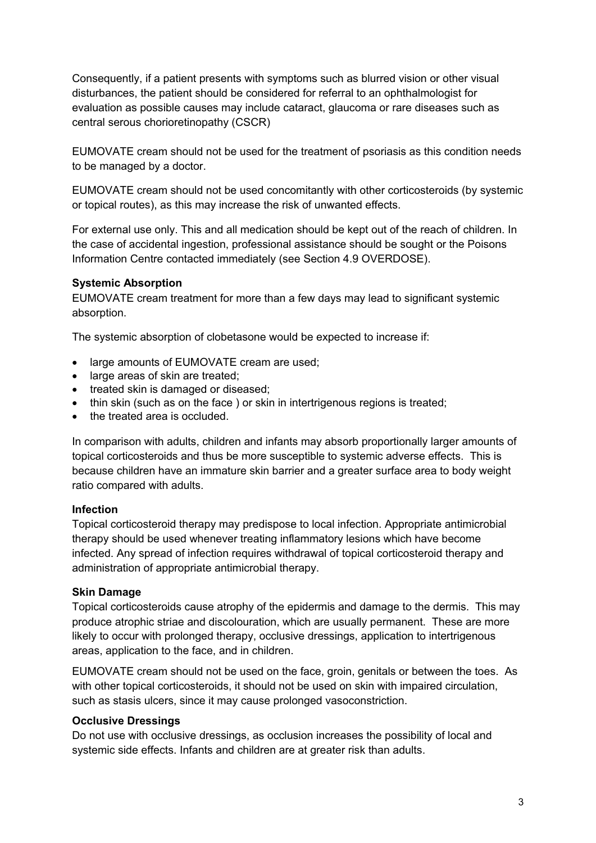Consequently, if a patient presents with symptoms such as blurred vision or other visual disturbances, the patient should be considered for referral to an ophthalmologist for evaluation as possible causes may include cataract, glaucoma or rare diseases such as central serous chorioretinopathy (CSCR)

EUMOVATE cream should not be used for the treatment of psoriasis as this condition needs to be managed by a doctor.

EUMOVATE cream should not be used concomitantly with other corticosteroids (by systemic or topical routes), as this may increase the risk of unwanted effects.

For external use only. This and all medication should be kept out of the reach of children. In the case of accidental ingestion, professional assistance should be sought or the Poisons Information Centre contacted immediately (see Section 4.9 OVERDOSE).

#### **Systemic Absorption**

EUMOVATE cream treatment for more than a few days may lead to significant systemic absorption.

The systemic absorption of clobetasone would be expected to increase if:

- large amounts of EUMOVATE cream are used;
- large areas of skin are treated;
- treated skin is damaged or diseased;
- thin skin (such as on the face) or skin in intertrigenous regions is treated;
- the treated area is occluded.

In comparison with adults, children and infants may absorb proportionally larger amounts of topical corticosteroids and thus be more susceptible to systemic adverse effects. This is because children have an immature skin barrier and a greater surface area to body weight ratio compared with adults.

#### **Infection**

Topical corticosteroid therapy may predispose to local infection. Appropriate antimicrobial therapy should be used whenever treating inflammatory lesions which have become infected. Any spread of infection requires withdrawal of topical corticosteroid therapy and administration of appropriate antimicrobial therapy.

#### **Skin Damage**

Topical corticosteroids cause atrophy of the epidermis and damage to the dermis. This may produce atrophic striae and discolouration, which are usually permanent. These are more likely to occur with prolonged therapy, occlusive dressings, application to intertrigenous areas, application to the face, and in children.

EUMOVATE cream should not be used on the face, groin, genitals or between the toes. As with other topical corticosteroids, it should not be used on skin with impaired circulation, such as stasis ulcers, since it may cause prolonged vasoconstriction.

#### **Occlusive Dressings**

Do not use with occlusive dressings, as occlusion increases the possibility of local and systemic side effects. Infants and children are at greater risk than adults.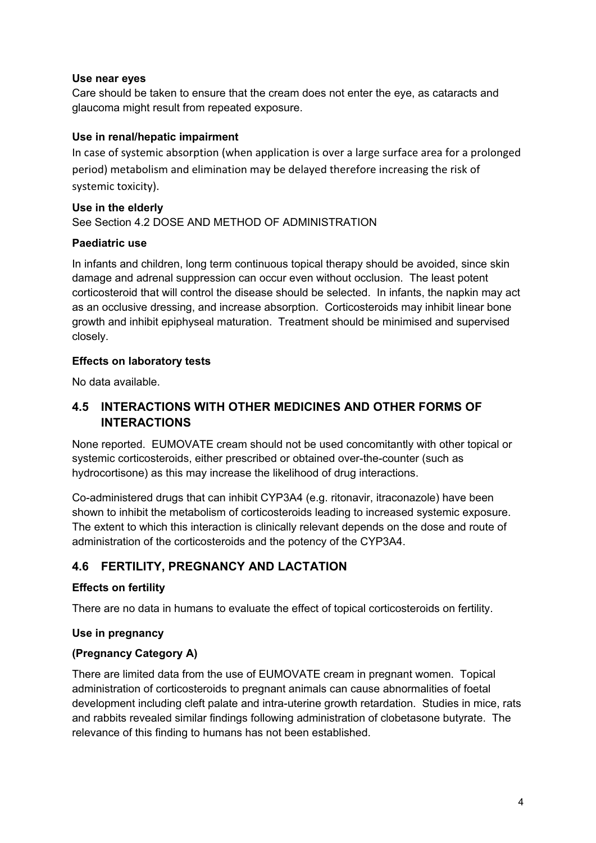#### **Use near eyes**

Care should be taken to ensure that the cream does not enter the eye, as cataracts and glaucoma might result from repeated exposure.

#### **Use in renal/hepatic impairment**

In case of systemic absorption (when application is over a large surface area for a prolonged period) metabolism and elimination may be delayed therefore increasing the risk of systemic toxicity).

#### **Use in the elderly** See Section 4.2 DOSE AND METHOD OF ADMINISTRATION

#### **Paediatric use**

In infants and children, long term continuous topical therapy should be avoided, since skin damage and adrenal suppression can occur even without occlusion. The least potent corticosteroid that will control the disease should be selected. In infants, the napkin may act as an occlusive dressing, and increase absorption. Corticosteroids may inhibit linear bone growth and inhibit epiphyseal maturation. Treatment should be minimised and supervised closely.

#### **Effects on laboratory tests**

No data available.

### **4.5 INTERACTIONS WITH OTHER MEDICINES AND OTHER FORMS OF INTERACTIONS**

None reported. EUMOVATE cream should not be used concomitantly with other topical or systemic corticosteroids, either prescribed or obtained over-the-counter (such as hydrocortisone) as this may increase the likelihood of drug interactions.

Co-administered drugs that can inhibit CYP3A4 (e.g. ritonavir, itraconazole) have been shown to inhibit the metabolism of corticosteroids leading to increased systemic exposure. The extent to which this interaction is clinically relevant depends on the dose and route of administration of the corticosteroids and the potency of the CYP3A4.

### **4.6 FERTILITY, PREGNANCY AND LACTATION**

#### **Effects on fertility**

There are no data in humans to evaluate the effect of topical corticosteroids on fertility.

#### **Use in pregnancy**

#### **(Pregnancy Category A)**

There are limited data from the use of EUMOVATE cream in pregnant women. Topical administration of corticosteroids to pregnant animals can cause abnormalities of foetal development including cleft palate and intra-uterine growth retardation. Studies in mice, rats and rabbits revealed similar findings following administration of clobetasone butyrate. The relevance of this finding to humans has not been established.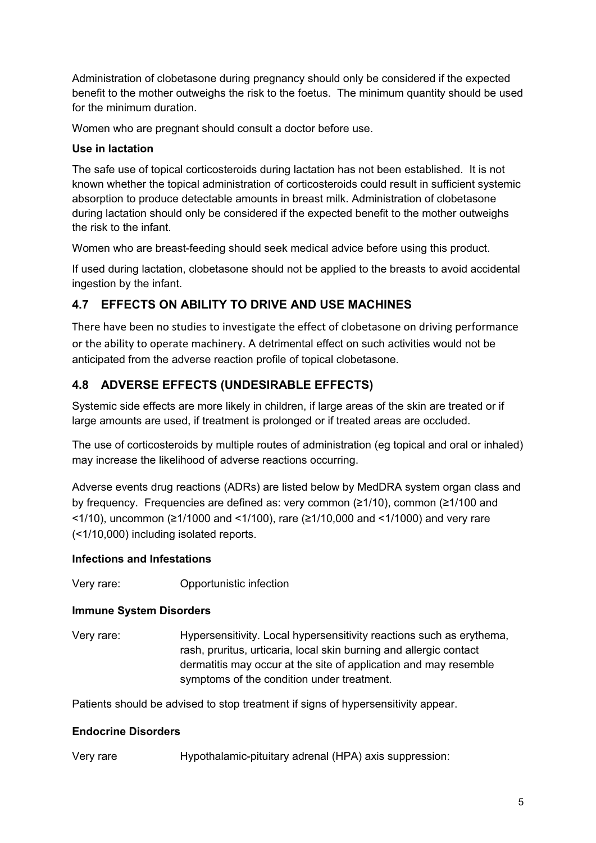Administration of clobetasone during pregnancy should only be considered if the expected benefit to the mother outweighs the risk to the foetus. The minimum quantity should be used for the minimum duration.

Women who are pregnant should consult a doctor before use.

#### **Use in lactation**

The safe use of topical corticosteroids during lactation has not been established. It is not known whether the topical administration of corticosteroids could result in sufficient systemic absorption to produce detectable amounts in breast milk. Administration of clobetasone during lactation should only be considered if the expected benefit to the mother outweighs the risk to the infant.

Women who are breast-feeding should seek medical advice before using this product.

If used during lactation, clobetasone should not be applied to the breasts to avoid accidental ingestion by the infant.

### **4.7 EFFECTS ON ABILITY TO DRIVE AND USE MACHINES**

There have been no studies to investigate the effect of clobetasone on driving performance or the ability to operate machinery. A detrimental effect on such activities would not be anticipated from the adverse reaction profile of topical clobetasone.

## **4.8 ADVERSE EFFECTS (UNDESIRABLE EFFECTS)**

Systemic side effects are more likely in children, if large areas of the skin are treated or if large amounts are used, if treatment is prolonged or if treated areas are occluded.

The use of corticosteroids by multiple routes of administration (eg topical and oral or inhaled) may increase the likelihood of adverse reactions occurring.

Adverse events drug reactions (ADRs) are listed below by MedDRA system organ class and by frequency. Frequencies are defined as: very common (≥1/10), common (≥1/100 and <1/10), uncommon (≥1/1000 and <1/100), rare (≥1/10,000 and <1/1000) and very rare (<1/10,000) including isolated reports.

#### **Infections and Infestations**

Very rare: Opportunistic infection

#### **Immune System Disorders**

Very rare: Hypersensitivity. Local hypersensitivity reactions such as erythema, rash, pruritus, urticaria, local skin burning and allergic contact dermatitis may occur at the site of application and may resemble symptoms of the condition under treatment.

Patients should be advised to stop treatment if signs of hypersensitivity appear.

#### **Endocrine Disorders**

Very rare Hypothalamic-pituitary adrenal (HPA) axis suppression: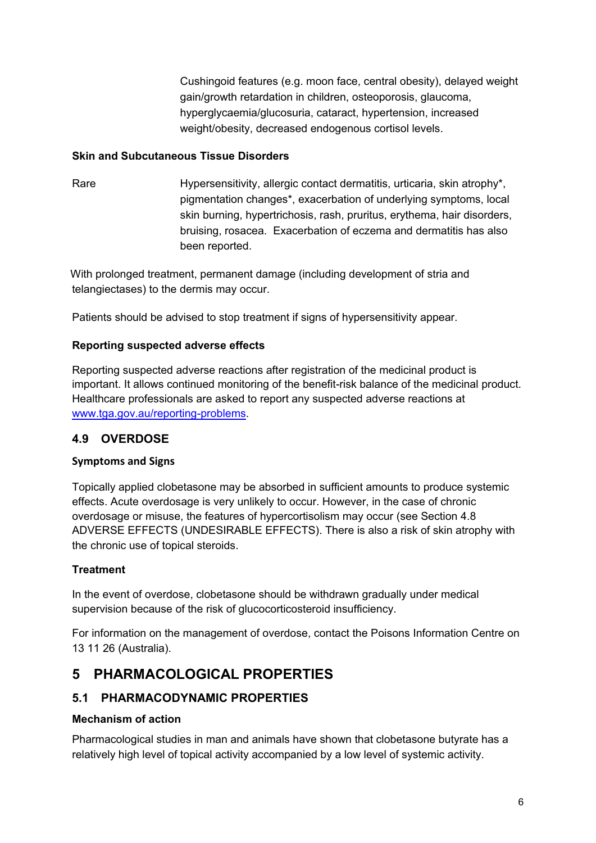Cushingoid features (e.g. moon face, central obesity), delayed weight gain/growth retardation in children, osteoporosis, glaucoma, hyperglycaemia/glucosuria, cataract, hypertension, increased weight/obesity, decreased endogenous cortisol levels.

#### **Skin and Subcutaneous Tissue Disorders**

Rare Hypersensitivity, allergic contact dermatitis, urticaria, skin atrophy<sup>\*</sup>, pigmentation changes\*, exacerbation of underlying symptoms, local skin burning, hypertrichosis, rash, pruritus, erythema, hair disorders, bruising, rosacea. Exacerbation of eczema and dermatitis has also been reported.

With prolonged treatment, permanent damage (including development of stria and telangiectases) to the dermis may occur.

Patients should be advised to stop treatment if signs of hypersensitivity appear.

### **Reporting suspected adverse effects**

Reporting suspected adverse reactions after registration of the medicinal product is important. It allows continued monitoring of the benefit-risk balance of the medicinal product. Healthcare professionals are asked to report any suspected adverse reactions at [www.tga.gov.au/reporting-problems.](http://www.tga.gov.au/reporting-problems)

## **4.9 OVERDOSE**

#### **Symptoms and Signs**

Topically applied clobetasone may be absorbed in sufficient amounts to produce systemic effects. Acute overdosage is very unlikely to occur. However, in the case of chronic overdosage or misuse, the features of hypercortisolism may occur (see Section 4.8 ADVERSE EFFECTS (UNDESIRABLE EFFECTS). There is also a risk of skin atrophy with the chronic use of topical steroids.

### **Treatment**

In the event of overdose, clobetasone should be withdrawn gradually under medical supervision because of the risk of glucocorticosteroid insufficiency.

For information on the management of overdose, contact the Poisons Information Centre on 13 11 26 (Australia).

# **5 PHARMACOLOGICAL PROPERTIES**

## **5.1 PHARMACODYNAMIC PROPERTIES**

#### **Mechanism of action**

Pharmacological studies in man and animals have shown that clobetasone butyrate has a relatively high level of topical activity accompanied by a low level of systemic activity.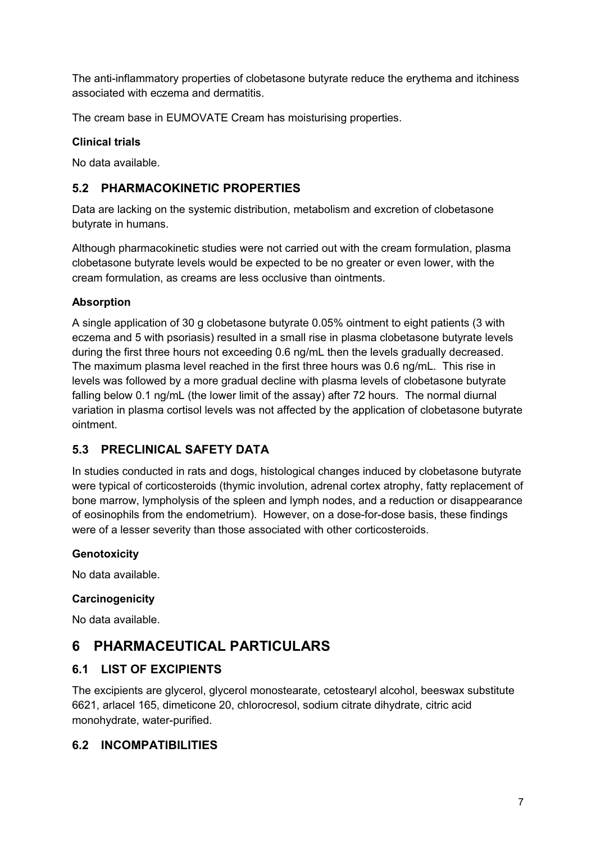The anti-inflammatory properties of clobetasone butyrate reduce the erythema and itchiness associated with eczema and dermatitis.

The cream base in EUMOVATE Cream has moisturising properties.

#### **Clinical trials**

No data available.

### **5.2 PHARMACOKINETIC PROPERTIES**

Data are lacking on the systemic distribution, metabolism and excretion of clobetasone butyrate in humans.

Although pharmacokinetic studies were not carried out with the cream formulation, plasma clobetasone butyrate levels would be expected to be no greater or even lower, with the cream formulation, as creams are less occlusive than ointments.

#### **Absorption**

A single application of 30 g clobetasone butyrate 0.05% ointment to eight patients (3 with eczema and 5 with psoriasis) resulted in a small rise in plasma clobetasone butyrate levels during the first three hours not exceeding 0.6 ng/mL then the levels gradually decreased. The maximum plasma level reached in the first three hours was 0.6 ng/mL. This rise in levels was followed by a more gradual decline with plasma levels of clobetasone butyrate falling below 0.1 ng/mL (the lower limit of the assay) after 72 hours. The normal diurnal variation in plasma cortisol levels was not affected by the application of clobetasone butyrate ointment.

## **5.3 PRECLINICAL SAFETY DATA**

In studies conducted in rats and dogs, histological changes induced by clobetasone butyrate were typical of corticosteroids (thymic involution, adrenal cortex atrophy, fatty replacement of bone marrow, lympholysis of the spleen and lymph nodes, and a reduction or disappearance of eosinophils from the endometrium). However, on a dose-for-dose basis, these findings were of a lesser severity than those associated with other corticosteroids.

#### **Genotoxicity**

No data available.

#### **Carcinogenicity**

No data available.

# **6 PHARMACEUTICAL PARTICULARS**

### **6.1 LIST OF EXCIPIENTS**

The excipients are glycerol, glycerol monostearate, cetostearyl alcohol, beeswax substitute 6621, arlacel 165, dimeticone 20, chlorocresol, sodium citrate dihydrate, citric acid monohydrate, water-purified.

### **6.2 INCOMPATIBILITIES**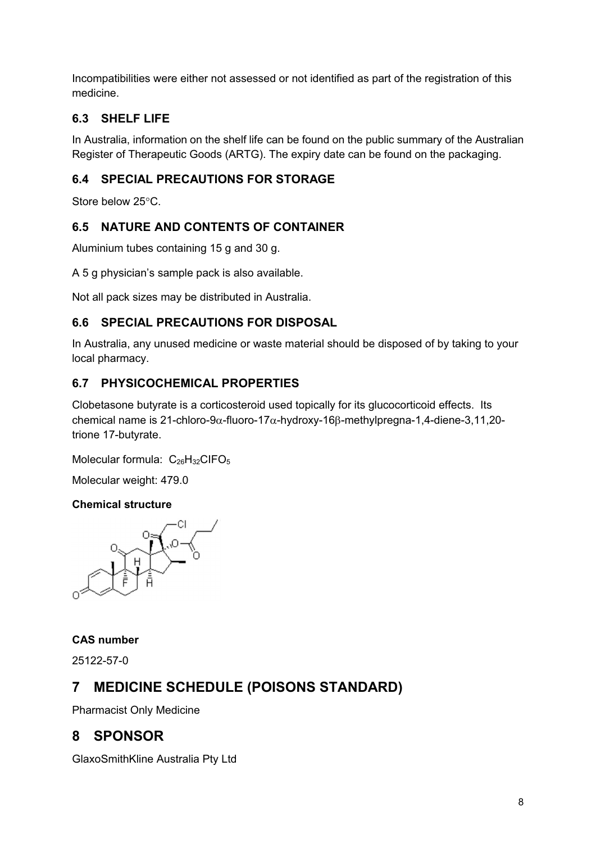Incompatibilities were either not assessed or not identified as part of the registration of this medicine.

## **6.3 SHELF LIFE**

In Australia, information on the shelf life can be found on the public summary of the Australian Register of Therapeutic Goods (ARTG). The expiry date can be found on the packaging.

## **6.4 SPECIAL PRECAUTIONS FOR STORAGE**

Store below  $25^{\circ}$ C.

## **6.5 NATURE AND CONTENTS OF CONTAINER**

Aluminium tubes containing 15 g and 30 g.

A 5 g physician's sample pack is also available.

Not all pack sizes may be distributed in Australia.

## **6.6 SPECIAL PRECAUTIONS FOR DISPOSAL**

In Australia, any unused medicine or waste material should be disposed of by taking to your local pharmacy.

### **6.7 PHYSICOCHEMICAL PROPERTIES**

Clobetasone butyrate is a corticosteroid used topically for its glucocorticoid effects. Its chemical name is 21-chloro-9 $\alpha$ -fluoro-17 $\alpha$ -hydroxy-16 $\beta$ -methylpregna-1,4-diene-3,11,20trione 17-butyrate.

Molecular formula:  $C_{26}H_{32}C$ IFO<sub>5</sub>

Molecular weight: 479.0

#### **Chemical structure**



#### **CAS number**

25122-57-0

# **7 MEDICINE SCHEDULE (POISONS STANDARD)**

Pharmacist Only Medicine

# **8 SPONSOR**

GlaxoSmithKline Australia Pty Ltd